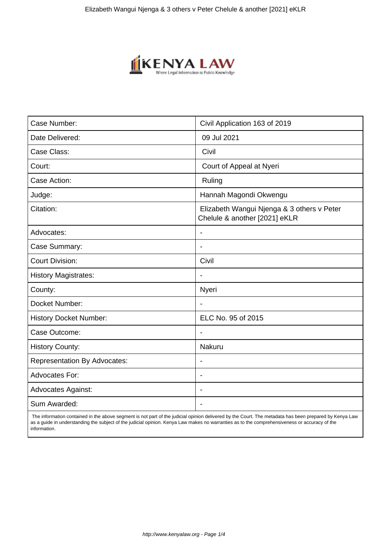

| Case Number:                        | Civil Application 163 of 2019                                               |
|-------------------------------------|-----------------------------------------------------------------------------|
| Date Delivered:                     | 09 Jul 2021                                                                 |
| Case Class:                         | Civil                                                                       |
| Court:                              | Court of Appeal at Nyeri                                                    |
| Case Action:                        | Ruling                                                                      |
| Judge:                              | Hannah Magondi Okwengu                                                      |
| Citation:                           | Elizabeth Wangui Njenga & 3 others v Peter<br>Chelule & another [2021] eKLR |
| Advocates:                          |                                                                             |
| Case Summary:                       |                                                                             |
| <b>Court Division:</b>              | Civil                                                                       |
| <b>History Magistrates:</b>         | $\blacksquare$                                                              |
| County:                             | Nyeri                                                                       |
| Docket Number:                      |                                                                             |
| <b>History Docket Number:</b>       | ELC No. 95 of 2015                                                          |
| Case Outcome:                       |                                                                             |
| <b>History County:</b>              | <b>Nakuru</b>                                                               |
| <b>Representation By Advocates:</b> | $\overline{\phantom{a}}$                                                    |
| Advocates For:                      | $\blacksquare$                                                              |
| <b>Advocates Against:</b>           |                                                                             |
| Sum Awarded:                        |                                                                             |

 The information contained in the above segment is not part of the judicial opinion delivered by the Court. The metadata has been prepared by Kenya Law as a guide in understanding the subject of the judicial opinion. Kenya Law makes no warranties as to the comprehensiveness or accuracy of the information.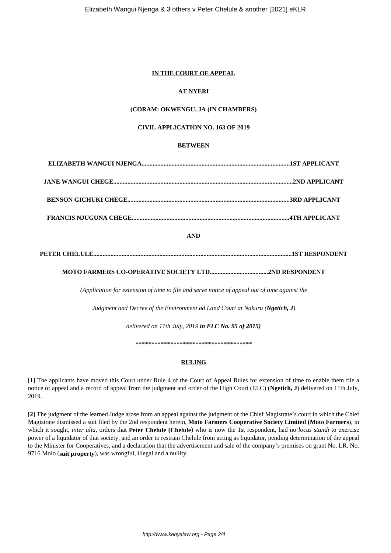# **IN THE COURT OF APPEAL**

# **AT NYERI**

# **(CORAM: OKWENGU, JA (IN CHAMBERS)**

### **CIVIL APPLICATION NO. 163 OF 2019**

# **BETWEEN**

# **AND**

# **PETER CHELULE..............................................................................................................................1ST RESPONDENT**

# **MOTO FARMERS CO-OPERATIVE SOCIETY LTD.....................................2ND RESPONDENT**

*(Application for extension of time to file and serve notice of appeal out of time against the*

*Judgment and Decree of the Environment ad Land Court at Nakuru (Ngetich, J)*

*delivered on 11th July, 2019 in ELC No. 95 of 2015)*

*\*\*\*\*\*\*\*\*\*\*\*\*\*\*\*\*\*\*\*\*\*\*\*\*\*\*\*\*\*\*\*\*\*\*\*\*\**

# **RULING**

[**1**] The applicants have moved this Court under Rule 4 of the Court of Appeal Rules for extension of time to enable them file a notice of appeal and a record of appeal from the judgment and order of the High Court (ELC) (**Ngetich, J**) delivered on 11th July, 2019.

[**2**] The judgment of the learned Judge arose from an appeal against the judgment of the Chief Magistrate's court in which the Chief Magistrate dismissed a suit filed by the 2nd respondent herein, **Moto Farmers Cooperative Society Limited (Moto Farmers**), in which it sought, *inter alia*, orders that **Peter Chelule** (Chelule) who is now the 1st respondent, had no *locus standi* to exercise power of a liquidator of that society, and an order to restrain Chelule from acting as liquidator, pending determination of the appeal to the Minister for Cooperatives, and a declaration that the advertisement and sale of the company's premises on grant No. LR. No. 9716 Molo (**suit property**), was wrongful, illegal and a nullity.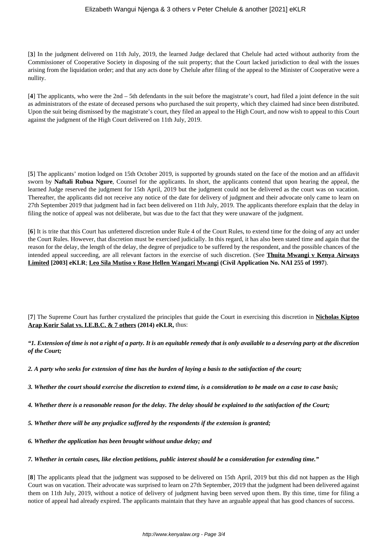### Elizabeth Wangui Njenga & 3 others v Peter Chelule & another [2021] eKLR

[**3**] In the judgment delivered on 11th July, 2019, the learned Judge declared that Chelule had acted without authority from the Commissioner of Cooperative Society in disposing of the suit property; that the Court lacked jurisdiction to deal with the issues arising from the liquidation order; and that any acts done by Chelule after filing of the appeal to the Minister of Cooperative were a nullity.

[**4**] The applicants, who were the 2nd – 5th defendants in the suit before the magistrate's court, had filed a joint defence in the suit as administrators of the estate of deceased persons who purchased the suit property, which they claimed had since been distributed. Upon the suit being dismissed by the magistrate's court, they filed an appeal to the High Court, and now wish to appeal to this Court against the judgment of the High Court delivered on 11th July, 2019.

[**5**] The applicants' motion lodged on 15th October 2019, is supported by grounds stated on the face of the motion and an affidavit sworn by **Naftali Rubua Ngure**, Counsel for the applicants. In short, the applicants contend that upon hearing the appeal, the learned Judge reserved the judgment for 15th April, 2019 but the judgment could not be delivered as the court was on vacation. Thereafter, the applicants did not receive any notice of the date for delivery of judgment and their advocate only came to learn on 27th September 2019 that judgment had in fact been delivered on 11th July, 2019. The applicants therefore explain that the delay in filing the notice of appeal was not deliberate, but was due to the fact that they were unaware of the judgment.

[**6**] It is trite that this Court has unfettered discretion under Rule 4 of the Court Rules, to extend time for the doing of any act under the Court Rules. However, that discretion must be exercised judicially. In this regard, it has also been stated time and again that the reason for the delay, the length of the delay, the degree of prejudice to be suffered by the respondent, and the possible chances of the intended appeal succeeding, are all relevant factors in the exercise of such discretion. (See **Thuita Mwangi v Kenya Airways Limited [2003] eKLR**; **Leo Sila Mutiso v Rose Hellen Wangari Mwangi (Civil Application No. NAI 255 of 1997**).

[**7**] The Supreme Court has further crystalized the principles that guide the Court in exercising this discretion in **Nicholas Kiptoo Arap Korir Salat vs. I.E.B.C. & 7 others (2014) eKLR,** thus:

*"1. Extension of time is not a right of a party. It is an equitable remedy that is only available to a deserving party at the discretion of the Court;*

*2. A party who seeks for extension of time has the burden of laying a basis to the satisfaction of the court;*

- *3. Whether the court should exercise the discretion to extend time, is a consideration to be made on a case to case basis;*
- *4. Whether there is a reasonable reason for the delay. The delay should be explained to the satisfaction of the Court;*
- *5. Whether there will be any prejudice suffered by the respondents if the extension is granted;*
- *6. Whether the application has been brought without undue delay; and*

*7. Whether in certain cases, like election petitions, public interest should be a consideration for extending time."*

[**8**] The applicants plead that the judgment was supposed to be delivered on 15th April, 2019 but this did not happen as the High Court was on vacation. Their advocate was surprised to learn on 27th September, 2019 that the judgment had been delivered against them on 11th July, 2019, without a notice of delivery of judgment having been served upon them. By this time, time for filing a notice of appeal had already expired. The applicants maintain that they have an arguable appeal that has good chances of success.